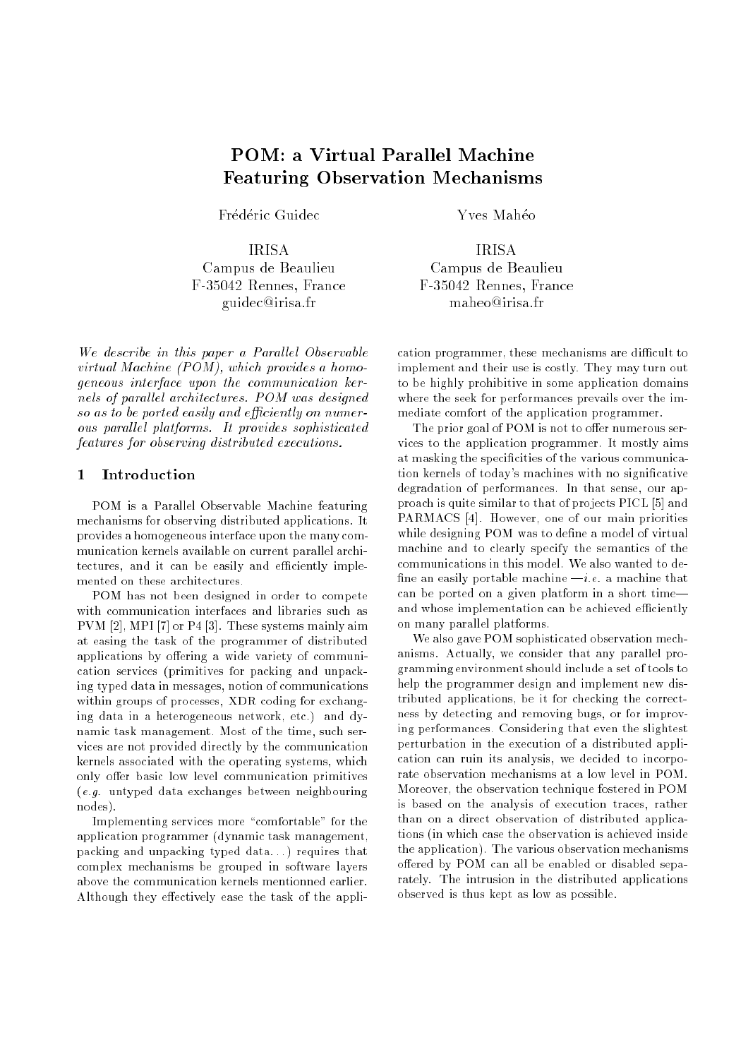# POM: <sup>a</sup> Virtual Parallel Machine Featuring Observation Mechanisms

Frédéric Guidec

**IRISA** Campus de Beaulieu Campus de Beaulieu F-35042 Rennes, France F-35042 Rennes, France F-35042 Rennes, France guidec@irisa.fr maheo@irisa.fr

we describe in this paper a Paral lel Paral lel Observable virtual Machine (POM), which provides a homogeneer in the communication interface upon the communication in the communication and communication and communication and communication and communication and communication and communication and communication and communicat nels of paral lel architectures. POM was designed so as to be ported easily and efficiently on numerous paral lel platforms. It provides sophisticated features for observing distributed executions.

# <sup>1</sup> Introduction

POM is a Parallel Observable Machine featuring mechanisms for observing distributed applications. It provides a homogeneous interface upon the many communication kernels available on current parallel architectures, and it can be easily and efficiently implemented on these architectures.

POM has not been designed in order to compete with communication interfaces and libraries such as PVM [2], MPI [7] or P4 [3]. These systems mainly aim at easing the task of the programmer of distributed applications by offering a wide variety of communication services (primitives for packing and unpacking typed data in messages, notion of communications within groups of processes, XDR coding for exchanging data in a heterogeneous network, etc.) and dynamic task management. Most of the time, such services are not provided directly by the communication kernels associated with the operating systems, which only offer basic low level communication primitives (e.g. untyped data exchanges between neighbouring nodes).

Implementing services more "comfortable" for the application programmer (dynamic task management, packing and unpacking typed data...) requires that complex mechanisms be grouped in software layers above the communication kernels mentionned earlier. Although they effectively ease the task of the appliYves Mahéo

F-35042 Rennes, France

cation programmer, these mechanisms are difficult to implement and their use is costly. They may turn out to be highly prohibitive in some application domains where the seek for performances prevails over the immediate comfort of the application programmer.

The prior goal of POM is not to offer numerous services to the application programmer. It mostly aims at masking the specificities of the various communication kernels of today's machines with no signicative degradation of performances. In that sense, our approach is quite similar to that of projects PICL [5] and PARMACS [4]. However, one of our main priorities while designing POM was to define a model of virtual machine and to clearly specify the semantics of the communications in this model. We also wanted to de fine an easily portable machine  $-i.e.$  a machine that can be ported on a given platform in a short time| and whose implementation can be achieved efficiently on many parallel platforms.

We also gave POM sophisticated observation mechanisms. Actually, we consider that any parallel programming environment should include a set of tools to help the programmer design and implement new distributed applications, be it for checking the correctness by detecting and removing bugs, or for improving performances. Considering that even the slightest perturbation in the execution of a distributed application can ruin its analysis, we decided to incorporate observation mechanisms at a low level in POM. Moreover, the observation technique fostered in POM is based on the analysis of execution traces, rather than on a direct observation of distributed applications (in which case the observation is achieved inside the application). The various observation mechanisms offered by POM can all be enabled or disabled separately. The intrusion in the distributed applications observed is thus kept as low as possible.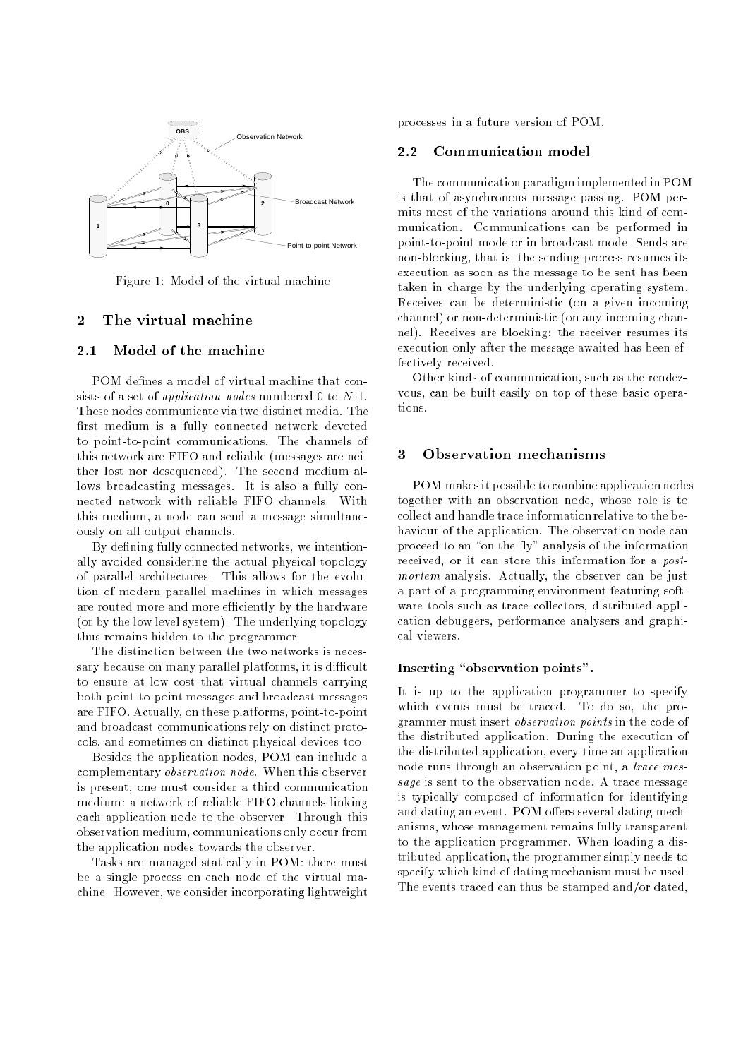

Figure 1: Model of the virtual machine

# <sup>2</sup> The virtual machine

# 2.1 Model of the machine

POM defines a model of virtual machine that consists of a set of *application nodes* numbered 0 to N-1. These nodes communicate via two distinct media. The first medium is a fully connected network devoted to point-to-point communications. The channels of this network are FIFO and reliable (messages are neither lost nor desequenced). The second medium allows broadcasting messages. It is also a fully connected network with reliable FIFO channels. With this medium, a node can send a message simultaneously on all output channels.

By defining fully connected networks, we intentionally avoided considering the actual physical topology of parallel architectures. This allows for the evolution of modern parallel machines in which messages are routed more and more efficiently by the hardware (or by the low level system). The underlying topology thus remains hidden to the programmer.

The distinction between the two networks is necessary because on many parallel platforms, it is difficult to ensure at low cost that virtual channels carrying both point-to-point messages and broadcast messages are FIFO. Actually, on these platforms, point-to-point and broadcast communications rely on distinct protocols, and sometimes on distinct physical devices too.

Besides the application nodes, POM can include a complementary observation node. When this observer is present, one must consider a third communication medium: a network of reliable FIFO channels linking each application node to the observer. Through this observation medium, communications only occur from the application nodes towards the observer.

Tasks are managed statically in POM: there must be a single process on each node of the virtual machine. However, we consider incorporating lightweight

processes in a future version of POM.

#### 2.2 Communication model

The communication paradigm implemented in POM is that of asynchronous message passing. POM permits most of the variations around this kind of communication. Communications can be performed in point-to-point mode or in broadcast mode. Sends are non-blocking, that is, the sending process resumes its execution as soon as the message to be sent has been taken in charge by the underlying operating system. Receives can be deterministic (on a given incoming channel) or non-deterministic (on any incoming channel). Receives are blocking: the receiver resumes its execution only after the message awaited has been effectively received.

Other kinds of communication, such as the rendezvous, can be built easily on top of these basic operations.

# <sup>3</sup> Observation mechanisms

POM makes it possible to combine application nodes together with an observation node, whose role is to collect and handle trace information relative to the behaviour of the application. The observation node can proceed to an "on the fly" analysis of the information received, or it can store this information for a *post*mortem analysis. Actually, the observer can be just a part of a programming environment featuring software tools such as trace collectors, distributed application debuggers, performance analysers and graphical viewers.

### Inserting "observation points".

It is up to the application programmer to specify which events must be traced. To do so, the programmer must insert observation points in the code of the distributed application. During the execution of the distributed application, every time an application node runs through an observation point, a trace message is sent to the observation node. A trace message is typically composed of information for identifying and dating an event. POM offers several dating mechanisms, whose management remains fully transparent to the application programmer. When loading a distributed application, the programmer simply needs to specify which kind of dating mechanism must be used. The events traced can thus be stamped and/or dated,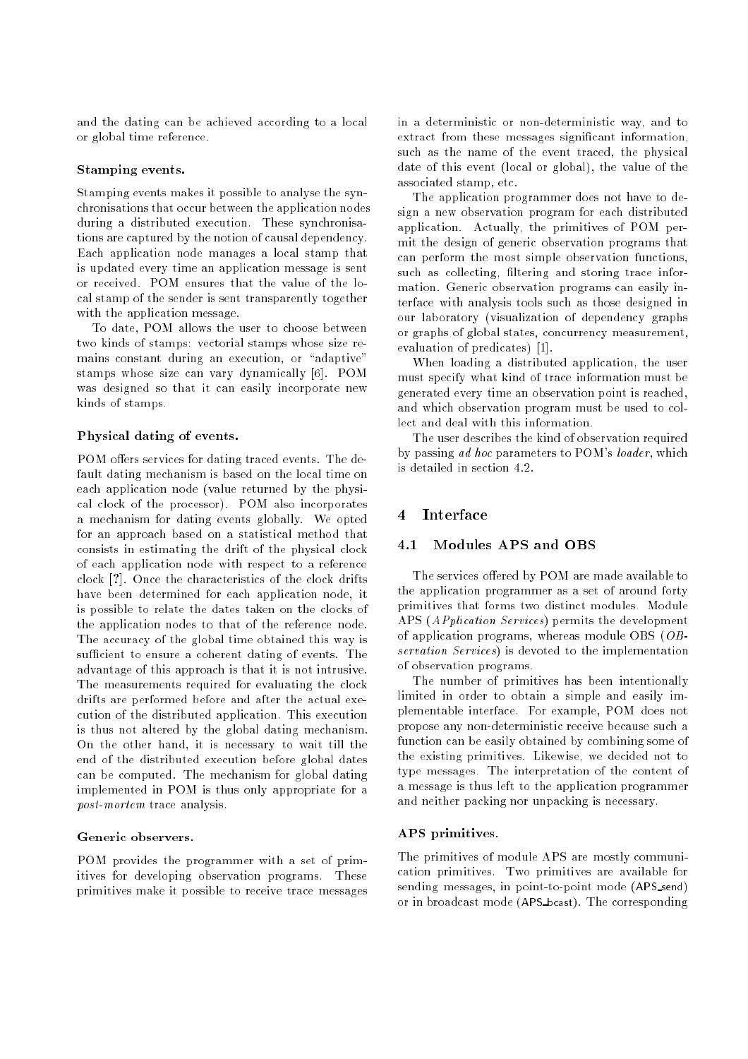and the dating can be achieved according to a local or global time reference.

#### Stamping events.

Stamping events makes it possible to analyse the synchronisations that occur between the application nodes during a distributed execution. These synchronisations are captured by the notion of causal dependency. Each application node manages a local stamp that is updated every time an application message is sent or received. POM ensures that the value of the local stamp of the sender is sent transparently together with the application message.

To date, POM allows the user to choose between two kinds of stamps: vectorial stamps whose size remains constant during an execution, or "adaptive" stamps whose size can vary dynamically [6]. POM was designed so that it can easily incorporate new kinds of stamps.

# Physical dating of events.

POM offers services for dating traced events. The default dating mechanism is based on the local time on each application node (value returned by the physical clock of the processor). POM also incorporates a mechanism for dating events globally. We opted for an approach based on a statistical method that consists in estimating the drift of the physical clock of each application node with respect to a reference clock [?]. Once the characteristics of the clock drifts have been determined for each application node, it is possible to relate the dates taken on the clocks of the application nodes to that of the reference node. The accuracy of the global time obtained this way is sufficient to ensure a coherent dating of events. The advantage of this approach is that it is not intrusive. The measurements required for evaluating the clock drifts are performed before and after the actual execution of the distributed application. This execution is thus not altered by the global dating mechanism. On the other hand, it is necessary to wait till the end of the distributed execution before global dates can be computed. The mechanism for global dating implemented in POM is thus only appropriate for a post-mortem trace analysis.

POM provides the programmer with a set of primitives for developing observation programs. These primitives make it possible to receive trace messages in a deterministic or non-deterministic way, and to extract from these messages signicant information, such as the name of the event traced, the physical date of this event (local or global), the value of the associated stamp, etc.

The application programmer does not have to design a new observation program for each distributed application. Actually, the primitives of POM permit the design of generic observation programs that can perform the most simple observation functions, such as collecting, filtering and storing trace information. Generic observation programs can easily interface with analysis tools such as those designed in our laboratory (visualization of dependency graphs or graphs of global states, concurrency measurement, evaluation of predicates) [1].

When loading a distributed application, the user must specify what kind of trace information must be generated every time an observation point is reached, and which observation program must be used to collect and deal with this information.

The user describes the kind of observation required by passing ad hoc parameters to POM's loader, which is detailed in section 4.2.

# <sup>4</sup> Interface

### 4.1 Modules APS and OBS

The services offered by POM are made available to the application programmer as a set of around forty primitives that forms two distinct modules. Module APS (APplication Services) permits the development of application programs, whereas module OBS (OBservation Services) is devoted to the implementation of observation programs.

The number of primitives has been intentionally limited in order to obtain a simple and easily implementable interface. For example, POM does not propose any non-deterministic receive because such a function can be easily obtained by combining some of the existing primitives. Likewise, we decided not to type messages. The interpretation of the content of a message is thus left to the application programmer and neither packing nor unpacking is necessary.

#### APS primitives.

The primitives of module APS are mostly communication primitives. Two primitives are available for sending messages, in point-to-point mode (APS send) or in broadcast mode (APS bcast). The corresponding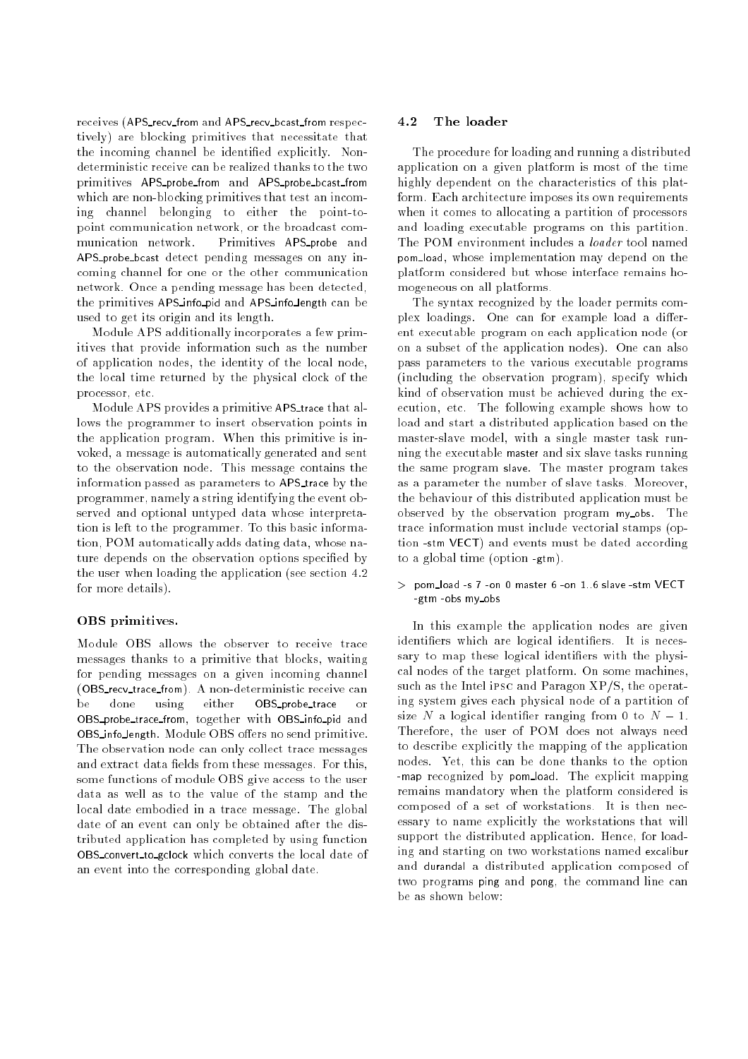receives (APS recv from and APS recv bcast from respectively) are blocking primitives that necessitate that the incoming channel be identied explicitly. Nondeterministic receive can be realized thanks to the two primitives APS probe from and APS probe bcast from which are non-blocking primitives that test an incoming channel belonging to either the point-topoint communication network, or the broadcast communication network. Primitives APS probe and APS probe bcast detect pending messages on any incoming channel for one or the other communication network. Once a pending message has been detected, the primitives APS info pid and APS info length can be used to get its origin and its length.

Module APS additionally incorporates a few primitives that provide information such as the number of application nodes, the identity of the local node, the local time returned by the physical clock of the processor, etc.

Module APS provides a primitive APS\_trace that allows the programmer to insert observation points in the application program. When this primitive is invoked, a message is automatically generated and sent to the observation node. This message contains the information passed as parameters to APS trace by the programmer, namely a string identifying the event observed and optional untyped data whose interpretation is left to the programmer. To this basic information, POM automatically adds dating data, whose nature depends on the observation options specified by the user when loading the application (see section 4.2 for more details).

#### OBS primitives.

Module OBS allows the observer to receive trace messages thanks to a primitive that blocks, waiting for pending messages on a given incoming channel (OBS\_recv\_trace\_from). A non-deterministic receive can  $he$ done using either OBS\_probe\_trace  $\alpha$ <sup>r</sup> OBS probe trace from, together with OBS info pid and OBS infollength. Module OBS offers no send primitive. The observation node can only collect trace messages and extract data fields from these messages. For this, some functions of module OBS give access to the user data as well as to the value of the stamp and the local date embodied in a trace message. The global date of an event can only be obtained after the distributed application has completed by using function OBS\_convert\_to\_gclock which converts the local date of an event into the corresponding global date.

#### 4.2 The loader

The procedure for loading and running a distributed application on a given platform is most of the time highly dependent on the characteristics of this platform. Each architecture imposes its own requirements when it comes to allocating a partition of processors and loading executable programs on this partition. The POM environment includes a loader tool named pom load, whose implementation may depend on the platform considered but whose interface remains homogeneous on all platforms.

The syntax recognized by the loader permits complex loadings. One can for example load a different executable program on each application node (or on a subset of the application nodes). One can also pass parameters to the various executable programs (including the observation program), specify which kind of observation must be achieved during the execution, etc. The following example shows how to load and start a distributed application based on the master-slave model, with a single master task running the executable master and six slave tasks running the same program slave. The master program takes as a parameter the number of slave tasks. Moreover, the behaviour of this distributed application must be observed by the observation program myobs. The trace information must include vectorial stamps (option -stm VECT) and events must be dated according to a global time (option -gtm).

#### <sup>&</sup>gt; pom load -s 7 -on 0 master 6 -on 1..6 slave -stm VECT -gtm -obs mv\_obs

In this example the application nodes are given identifiers which are logical identifiers. It is necessary to map these logical identifiers with the physical nodes of the target platform. On some machines, such as the Intel ipsc and Paragon XP/S, the operating system gives each physical node of a partition of size N a logical identifier ranging from 0 to  $N-1$ . Therefore, the user of POM does not always need to describe explicitly the mapping of the application nodes. Yet, this can be done thanks to the option -map recognized by pom\_load. The explicit mapping remains mandatory when the platform considered is composed of a set of workstations. It is then necessary to name explicitly the workstations that will support the distributed application. Hence, for loading and starting on two workstations named excalibur and durandal a distributed application composed of two programs ping and pong, the command line can be as shown below: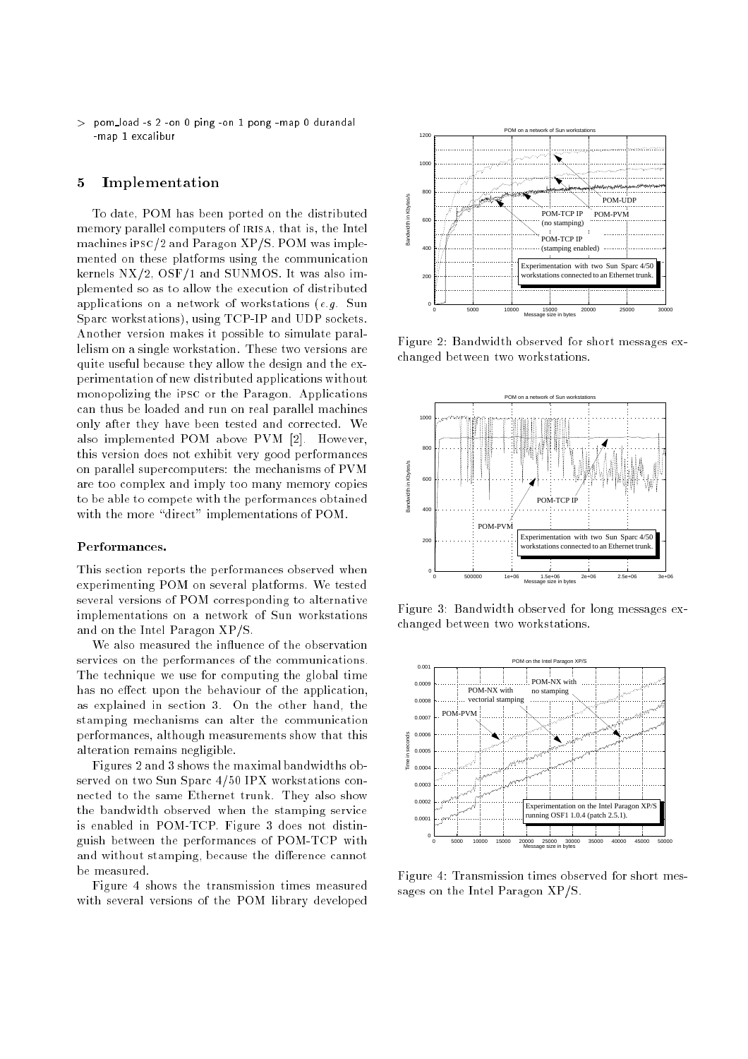<sup>&</sup>gt; pom load -s 2 -on 0 ping -on 1 pong -map 0 durandal -map 1 excalibur

#### <sup>5</sup> Implementation

To date, POM has been ported on the distributed memory parallel computers of IRISA, that is, the Intel machines ipsc/2 and Paragon XP/S. POM was implemented on these platforms using the communication kernels NX/2, OSF/1 and SUNMOS. It was also implemented so as to allow the execution of distributed applications on a network of workstations (e.g. Sun Sparc workstations), using TCP-IP and UDP sockets. Another version makes it possible to simulate parallelism on a single workstation. These two versions are quite useful because they allow the design and the experimentation of new distributed applications without monopolizing the ipsc or the Paragon. Applications can thus be loaded and run on real parallel machines only after they have been tested and corrected. We also implemented POM above PVM [2]. However, this version does not exhibit very good performances on parallel supercomputers: the mechanisms of PVM are too complex and imply too many memory copies to be able to compete with the performances obtained with the more "direct" implementations of POM.

#### Performances.

This section reports the performances observed when experimenting POM on several platforms. We tested several versions of POM corresponding to alternative implementations on a network of Sun workstations and on the Intel Paragon XP/S.

We also measured the influence of the observation services on the performances of the communications. The technique we use for computing the global time has no effect upon the behaviour of the application, as explained in section 3. On the other hand, the stamping mechanisms can alter the communication performances, although measurements show that this alteration remains negligible.

Figures 2 and 3 shows the maximal bandwidths observed on two Sun Sparc 4/50 IPX workstations connected to the same Ethernet trunk. They also show the bandwidth observed when the stamping service is enabled in POM-TCP. Figure 3 does not distinguish between the performances of POM-TCP with and without stamping, because the difference cannot be measured.

Figure 4 shows the transmission times measured with several versions of the POM library developed



Figure 2: Bandwidth observed for short messages exchanged between two workstations.



Figure 3: Bandwidth observed for long messages exchanged between two workstations.



Figure 4: Transmission times observed for short messages on the Intel Paragon XP/S.